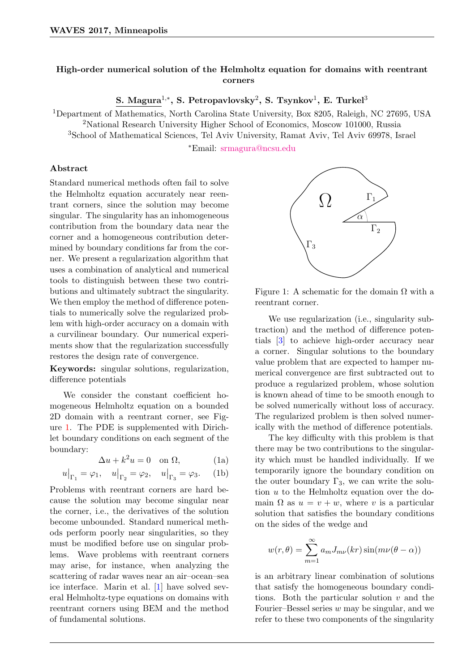## High-order numerical solution of the Helmholtz equation for domains with reentrant corners

S. Magura $^{1,*}$ , S. Petropavlovsky $^{2}$ , S. Tsynkov $^{1}$ , E. Turkel $^{3}$ 

<sup>1</sup>Department of Mathematics, North Carolina State University, Box 8205, Raleigh, NC 27695, USA <sup>2</sup>National Research University Higher School of Economics, Moscow 101000, Russia

<sup>3</sup>School of Mathematical Sciences, Tel Aviv University, Ramat Aviv, Tel Aviv 69978, Israel

<sup>∗</sup>Email: [srmagura@ncsu.edu](mailto:srmagura@ncsu.edu)

## Abstract

Standard numerical methods often fail to solve the Helmholtz equation accurately near reentrant corners, since the solution may become singular. The singularity has an inhomogeneous contribution from the boundary data near the corner and a homogeneous contribution determined by boundary conditions far from the corner. We present a regularization algorithm that uses a combination of analytical and numerical tools to distinguish between these two contributions and ultimately subtract the singularity. We then employ the method of difference potentials to numerically solve the regularized problem with high-order accuracy on a domain with a curvilinear boundary. Our numerical experiments show that the regularization successfully restores the design rate of convergence.

Keywords: singular solutions, regularization, difference potentials

We consider the constant coefficient homogeneous Helmholtz equation on a bounded 2D domain with a reentrant corner, see Figure [1.](#page-0-0) The PDE is supplemented with Dirichlet boundary conditions on each segment of the boundary:

<span id="page-0-1"></span>
$$
\Delta u + k^2 u = 0 \quad \text{on } \Omega,\tag{1a}
$$

$$
u\big|_{\Gamma_1} = \varphi_1, \quad u\big|_{\Gamma_2} = \varphi_2, \quad u\big|_{\Gamma_3} = \varphi_3. \quad \text{(1b)}
$$

Problems with reentrant corners are hard because the solution may become singular near the corner, i.e., the derivatives of the solution become unbounded. Standard numerical methods perform poorly near singularities, so they must be modified before use on singular problems. Wave problems with reentrant corners may arise, for instance, when analyzing the scattering of radar waves near an air–ocean–sea ice interface. Marin et al. [\[1\]](#page-1-0) have solved several Helmholtz-type equations on domains with reentrant corners using BEM and the method of fundamental solutions.



<span id="page-0-0"></span>Figure 1: A schematic for the domain  $\Omega$  with a reentrant corner.

We use regularization (i.e., singularity subtraction) and the method of difference potentials [\[3\]](#page-1-1) to achieve high-order accuracy near a corner. Singular solutions to the boundary value problem that are expected to hamper numerical convergence are first subtracted out to produce a regularized problem, whose solution is known ahead of time to be smooth enough to be solved numerically without loss of accuracy. The regularized problem is then solved numerically with the method of difference potentials.

The key difficulty with this problem is that there may be two contributions to the singularity which must be handled individually. If we temporarily ignore the boundary condition on the outer boundary  $\Gamma_3$ , we can write the solution  $u$  to the Helmholtz equation over the domain  $\Omega$  as  $u = v + w$ , where v is a particular solution that satisfies the boundary conditions on the sides of the wedge and

$$
w(r,\theta) = \sum_{m=1}^{\infty} a_m J_{m\nu}(kr) \sin(m\nu(\theta - \alpha))
$$

is an arbitrary linear combination of solutions that satisfy the homogeneous boundary conditions. Both the particular solution  $v$  and the Fourier–Bessel series  $w$  may be singular, and we refer to these two components of the singularity